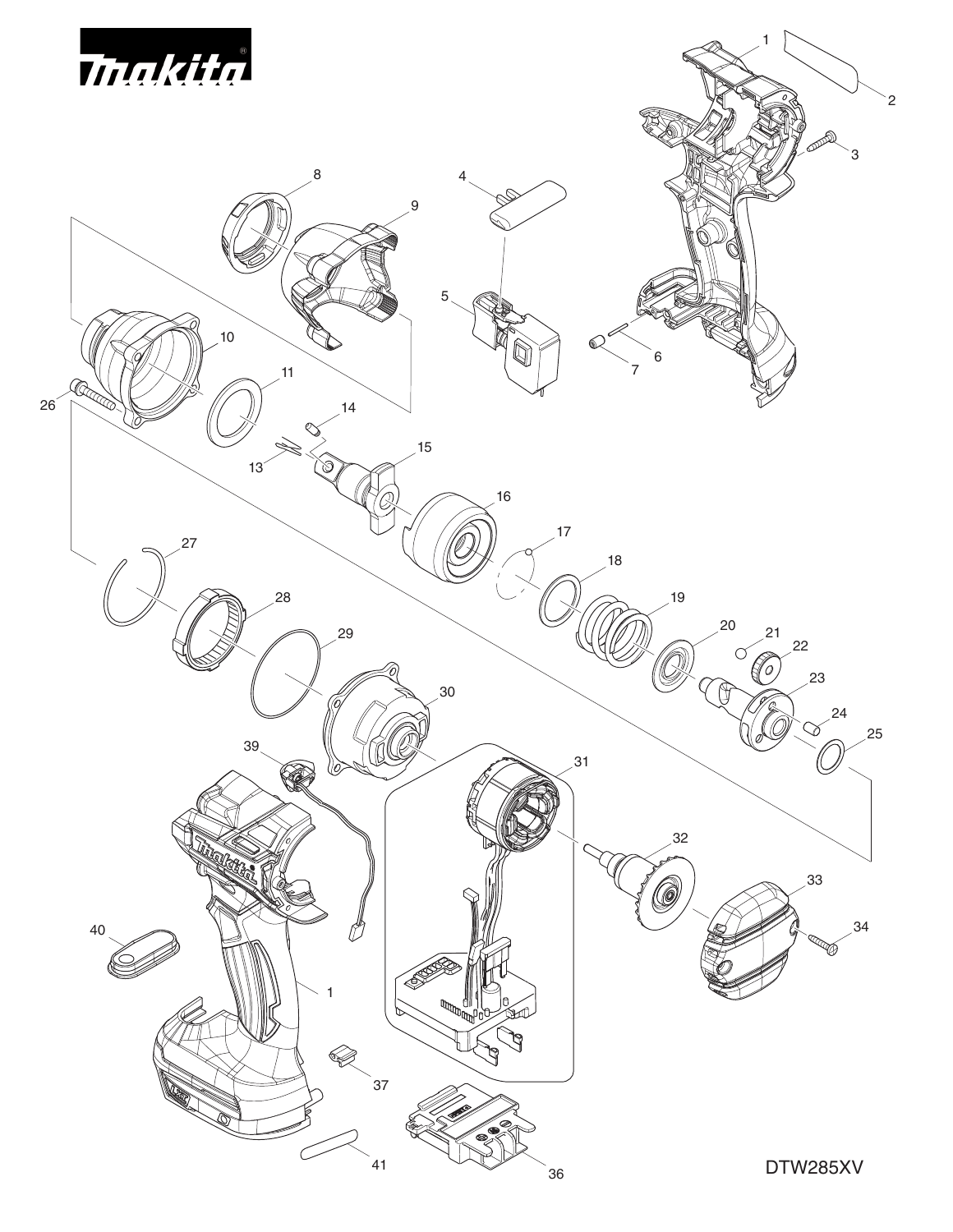